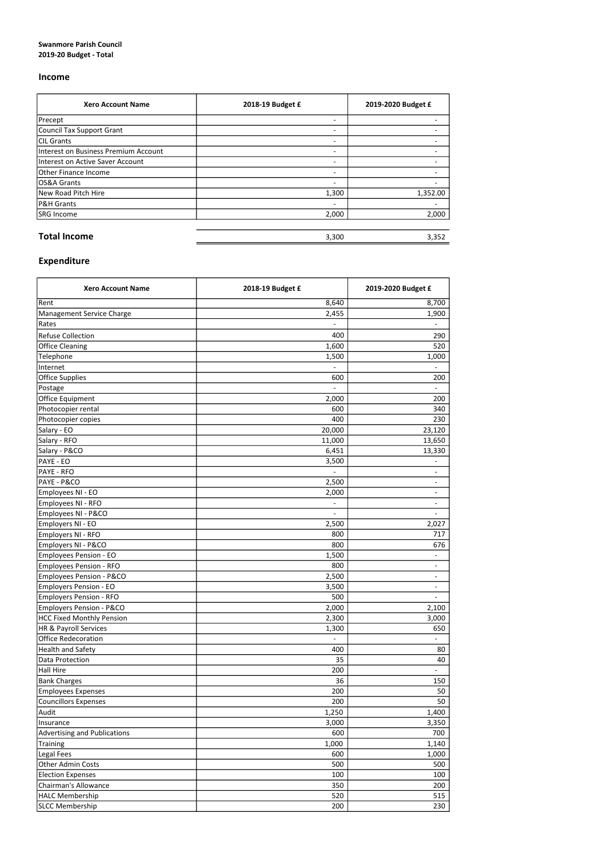## Swanmore Parish Council 2019-20 Budget - Total

## Income

| <b>Xero Account Name</b>             | 2018-19 Budget £         | 2019-2020 Budget £ |
|--------------------------------------|--------------------------|--------------------|
| Precept                              | $\overline{\phantom{0}}$ |                    |
| Council Tax Support Grant            | $\overline{\phantom{a}}$ |                    |
| <b>CIL Grants</b>                    | $\overline{\phantom{a}}$ |                    |
| Interest on Business Premium Account | $\overline{\phantom{a}}$ |                    |
| Interest on Active Saver Account     | $\overline{\phantom{0}}$ |                    |
| Other Finance Income                 | $\overline{\phantom{0}}$ |                    |
| OS&A Grants                          | $\overline{\phantom{a}}$ |                    |
| New Road Pitch Hire                  | 1,300                    | 1,352.00           |
| P&H Grants                           | $\overline{\phantom{0}}$ |                    |
| SRG Income                           | 2,000                    | 2,000              |
|                                      |                          |                    |
| <b>Total Income</b>                  | 3,300                    | 3,352              |

## Expenditure

| <b>Xero Account Name</b>            | 2018-19 Budget £ | 2019-2020 Budget £       |
|-------------------------------------|------------------|--------------------------|
| Rent                                | 8,640            | 8,700                    |
| Management Service Charge           | 2,455            | 1,900                    |
| Rates                               |                  |                          |
| <b>Refuse Collection</b>            | 400              | 290                      |
| <b>Office Cleaning</b>              | 1,600            | 520                      |
| Telephone                           | 1,500            | 1,000                    |
| Internet                            |                  |                          |
| <b>Office Supplies</b>              | 600              | 200                      |
| Postage                             |                  |                          |
| Office Equipment                    | 2,000            | 200                      |
| Photocopier rental                  | 600              | 340                      |
| Photocopier copies                  | 400              | 230                      |
| Salary - EO                         | 20,000           | 23,120                   |
| Salary - RFO                        | 11,000           | 13,650                   |
| Salary - P&CO                       | 6,451            | 13,330                   |
| PAYE - EO                           |                  |                          |
|                                     | 3,500            |                          |
| PAYE - RFO                          |                  | $\overline{\phantom{a}}$ |
| PAYE - P&CO                         | 2,500            | $\overline{\phantom{a}}$ |
| Employees NI - EO                   | 2,000            | $\overline{\phantom{a}}$ |
| Employees NI - RFO                  |                  |                          |
| Employees NI - P&CO                 |                  |                          |
| Employers NI - EO                   | 2,500            | 2,027                    |
| Employers NI - RFO                  | 800              | 717                      |
| Employers NI - P&CO                 | 800              | 676                      |
| <b>Employees Pension - EO</b>       | 1,500            | $\overline{\phantom{a}}$ |
| <b>Employees Pension - RFO</b>      | 800              | $\overline{\phantom{a}}$ |
| <b>Employees Pension - P&amp;CO</b> | 2,500            | $\overline{\phantom{a}}$ |
| <b>Employers Pension - EO</b>       | 3,500            | $\overline{\phantom{0}}$ |
| <b>Employers Pension - RFO</b>      | 500              | $\overline{\phantom{a}}$ |
| <b>Employers Pension - P&amp;CO</b> | 2,000            | 2,100                    |
| <b>HCC Fixed Monthly Pension</b>    | 2,300            | 3,000                    |
| HR & Payroll Services               | 1,300            | 650                      |
| <b>Office Redecoration</b>          |                  |                          |
| <b>Health and Safety</b>            | 400              | 80                       |
| Data Protection                     | 35               | 40                       |
| <b>Hall Hire</b>                    | 200              |                          |
| <b>Bank Charges</b>                 | 36               | 150                      |
| <b>Employees Expenses</b>           | 200              | 50                       |
| <b>Councillors Expenses</b>         | 200              | 50                       |
| Audit                               | 1,250            | 1,400                    |
| Insurance                           | 3,000            | 3,350                    |
| <b>Advertising and Publications</b> | 600              | 700                      |
| <b>Training</b>                     | 1,000            | 1,140                    |
| Legal Fees                          | 600              | 1,000                    |
| <b>Other Admin Costs</b>            | 500              | 500                      |
| <b>Election Expenses</b>            | 100              | 100                      |
| <b>Chairman's Allowance</b>         | 350              | 200                      |
| <b>HALC Membership</b>              | 520              | 515                      |
| <b>SLCC Membership</b>              | 200              | 230                      |
|                                     |                  |                          |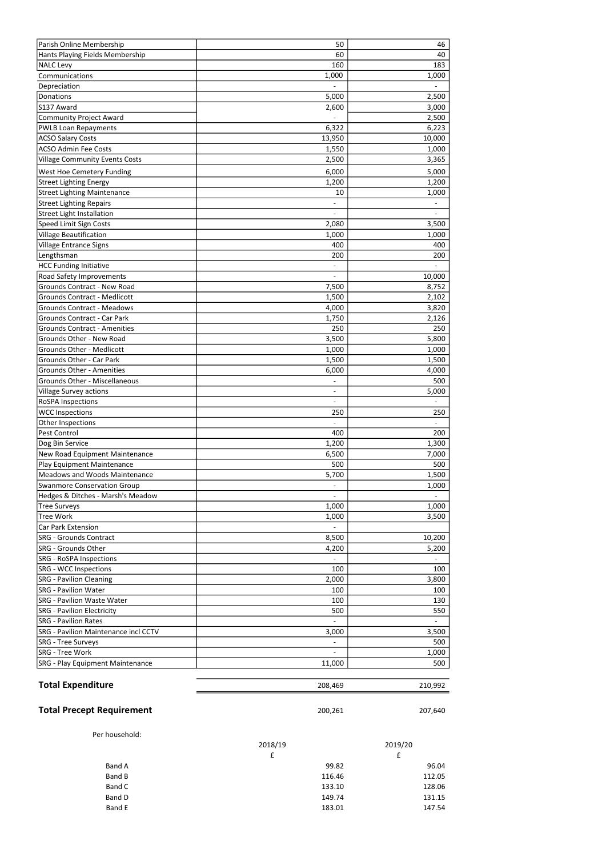| Parish Online Membership                                              | 50                       | 46           |
|-----------------------------------------------------------------------|--------------------------|--------------|
| Hants Playing Fields Membership                                       | 60                       | 40           |
| <b>NALC Levy</b>                                                      | 160                      | 183          |
| Communications                                                        | 1,000                    | 1,000        |
| Depreciation                                                          |                          |              |
| Donations                                                             | 5,000                    | 2,500        |
| S137 Award                                                            | 2,600                    | 3,000        |
| <b>Community Project Award</b>                                        |                          | 2,500        |
| <b>PWLB Loan Repayments</b>                                           | 6,322                    | 6,223        |
| <b>ACSO Salary Costs</b>                                              | 13,950                   | 10,000       |
| <b>ACSO Admin Fee Costs</b>                                           | 1,550                    | 1,000        |
| <b>Village Community Events Costs</b>                                 | 2,500                    | 3,365        |
| <b>West Hoe Cemetery Funding</b>                                      | 6,000                    | 5,000        |
| <b>Street Lighting Energy</b>                                         | 1,200                    | 1,200        |
| <b>Street Lighting Maintenance</b><br><b>Street Lighting Repairs</b>  | 10                       | 1,000        |
| <b>Street Light Installation</b>                                      |                          |              |
| Speed Limit Sign Costs                                                | 2,080                    | 3,500        |
| <b>Village Beautification</b>                                         | 1,000                    | 1,000        |
| Village Entrance Signs                                                | 400                      | 400          |
| Lengthsman                                                            | 200                      | 200          |
| <b>HCC Funding Initiative</b>                                         |                          |              |
| Road Safety Improvements                                              |                          | 10,000       |
| <b>Grounds Contract - New Road</b>                                    | 7,500                    | 8,752        |
| <b>Grounds Contract - Medlicott</b>                                   | 1,500                    | 2,102        |
| <b>Grounds Contract - Meadows</b>                                     | 4,000                    | 3,820        |
| <b>Grounds Contract - Car Park</b>                                    | 1,750                    | 2,126        |
| <b>Grounds Contract - Amenities</b>                                   | 250                      | 250          |
| Grounds Other - New Road                                              | 3,500                    | 5,800        |
| <b>Grounds Other - Medlicott</b>                                      | 1,000                    | 1,000        |
| Grounds Other - Car Park                                              | 1,500                    | 1,500        |
| <b>Grounds Other - Amenities</b>                                      | 6,000                    | 4,000        |
| <b>Grounds Other - Miscellaneous</b><br><b>Village Survey actions</b> |                          | 500<br>5,000 |
| <b>RoSPA Inspections</b>                                              | $\overline{\phantom{a}}$ |              |
| <b>WCC Inspections</b>                                                | 250                      | 250          |
| Other Inspections                                                     |                          |              |
| Pest Control                                                          | 400                      | 200          |
| Dog Bin Service                                                       | 1,200                    | 1,300        |
| New Road Equipment Maintenance                                        | 6,500                    | 7,000        |
| Play Equipment Maintenance                                            | 500                      | 500          |
| <b>Meadows and Woods Maintenance</b>                                  | 5,700                    | 1,500        |
| <b>Swanmore Conservation Group</b>                                    |                          | 1,000        |
| Hedges & Ditches - Marsh's Meadow                                     |                          |              |
| <b>Tree Surveys</b>                                                   | 1,000                    | 1,000        |
| <b>Tree Work</b>                                                      | 1,000                    | 3,500        |
| <b>Car Park Extension</b>                                             |                          |              |
| <b>SRG - Grounds Contract</b>                                         | 8,500                    | 10,200       |
| <b>SRG - Grounds Other</b>                                            | 4,200                    | 5,200        |
| <b>SRG - RoSPA Inspections</b>                                        |                          |              |
| <b>SRG - WCC Inspections</b>                                          | 100                      | 100          |
| <b>SRG</b> - Pavilion Cleaning<br><b>SRG - Pavilion Water</b>         | 2,000                    | 3,800        |
| <b>SRG</b> - Pavilion Waste Water                                     | 100<br>100               | 100<br>130   |
| <b>SRG</b> - Pavilion Electricity                                     | 500                      | 550          |
| <b>SRG</b> - Pavilion Rates                                           | $\blacksquare$           |              |
| <b>SRG</b> - Pavilion Maintenance incl CCTV                           | 3,000                    | 3,500        |
| <b>SRG</b> - Tree Surveys                                             |                          | 500          |
| <b>SRG - Tree Work</b>                                                |                          | 1,000        |
| SRG - Play Equipment Maintenance                                      | 11,000                   | 500          |
| <b>Total Expenditure</b>                                              | 208,469                  | 210,992      |
| <b>Total Precept Requirement</b>                                      | 200,261                  | 207,640      |
|                                                                       |                          |              |
| Per household:                                                        | 2018/19                  | 2019/20      |
|                                                                       | $\mathbf f$              | £            |
| <b>Band A</b>                                                         | 99.82                    | 96.04        |
| <b>Band B</b>                                                         | 116.46                   | 112.05       |
| Band C                                                                | 133.10                   | 128.06       |
| <b>Band D</b>                                                         | 149.74                   | 131.15       |
| Band E                                                                | 183.01                   | 147.54       |